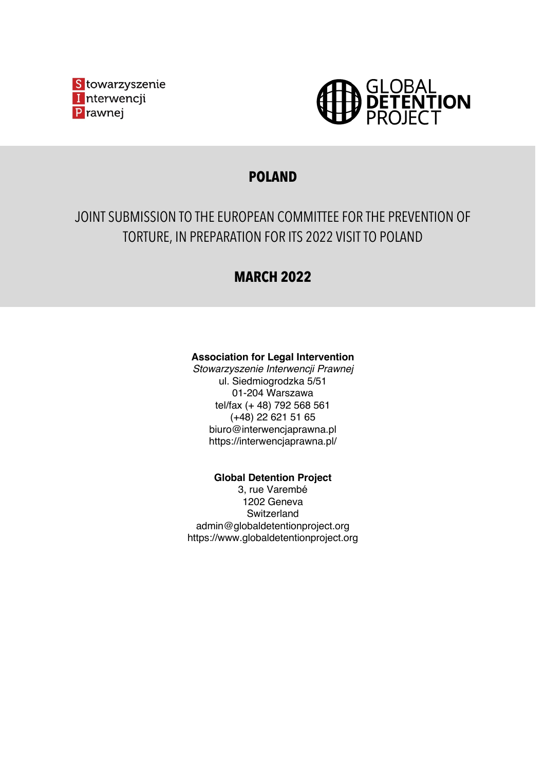



## **POLAND**

# JOINT SUBMISSION TO THE EUROPEAN COMMITTEE FOR THE PREVENTION OF TORTURE, IN PREPARATION FOR ITS 2022 VISIT TO POLAND

## **MARCH 2022**

## **Association for Legal Intervention**

*Stowarzyszenie Interwencji Prawnej* ul. Siedmiogrodzka 5/51 01-204 Warszawa tel/fax (+ 48) 792 568 561 (+48) 22 621 51 65 biuro@interwencjaprawna.pl https://interwencjaprawna.pl/

**Global Detention Project**

3, rue Varembé 1202 Geneva **Switzerland** admin@globaldetentionproject.org https://www.globaldetentionproject.org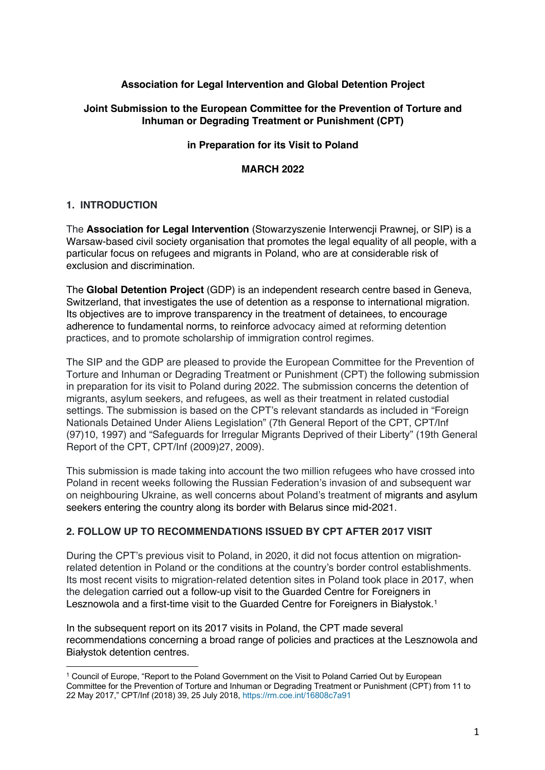## **Association for Legal Intervention and Global Detention Project**

#### **Joint Submission to the European Committee for the Prevention of Torture and Inhuman or Degrading Treatment or Punishment (CPT)**

#### **in Preparation for its Visit to Poland**

#### **MARCH 2022**

#### **1. INTRODUCTION**

The **Association for Legal Intervention** (Stowarzyszenie Interwencji Prawnej, or SIP) is a Warsaw-based civil society organisation that promotes the legal equality of all people, with a particular focus on refugees and migrants in Poland, who are at considerable risk of exclusion and discrimination.

The **Global Detention Project** (GDP) is an independent research centre based in Geneva, Switzerland, that investigates the use of detention as a response to international migration. Its objectives are to improve transparency in the treatment of detainees, to encourage adherence to fundamental norms, to reinforce advocacy aimed at reforming detention practices, and to promote scholarship of immigration control regimes.

The SIP and the GDP are pleased to provide the European Committee for the Prevention of Torture and Inhuman or Degrading Treatment or Punishment (CPT) the following submission in preparation for its visit to Poland during 2022. The submission concerns the detention of migrants, asylum seekers, and refugees, as well as their treatment in related custodial settings. The submission is based on the CPT's relevant standards as included in "Foreign Nationals Detained Under Aliens Legislation" (7th General Report of the CPT, CPT/Inf (97)10, 1997) and "Safeguards for Irregular Migrants Deprived of their Liberty" (19th General Report of the CPT, CPT/Inf (2009)27, 2009).

This submission is made taking into account the two million refugees who have crossed into Poland in recent weeks following the Russian Federation's invasion of and subsequent war on neighbouring Ukraine, as well concerns about Poland's treatment of migrants and asylum seekers entering the country along its border with Belarus since mid-2021.

#### **2. FOLLOW UP TO RECOMMENDATIONS ISSUED BY CPT AFTER 2017 VISIT**

During the CPT's previous visit to Poland, in 2020, it did not focus attention on migrationrelated detention in Poland or the conditions at the country's border control establishments. Its most recent visits to migration-related detention sites in Poland took place in 2017, when the delegation carried out a follow-up visit to the Guarded Centre for Foreigners in Lesznowola and a first-time visit to the Guarded Centre for Foreigners in Białystok.<sup>1</sup>

In the subsequent report on its 2017 visits in Poland, the CPT made several recommendations concerning a broad range of policies and practices at the Lesznowola and Białystok detention centres.

<sup>1</sup> Council of Europe, "Report to the Poland Government on the Visit to Poland Carried Out by European Committee for the Prevention of Torture and Inhuman or Degrading Treatment or Punishment (CPT) from 11 to 22 May 2017," CPT/Inf (2018) 39, 25 July 2018, https://rm.coe.int/16808c7a91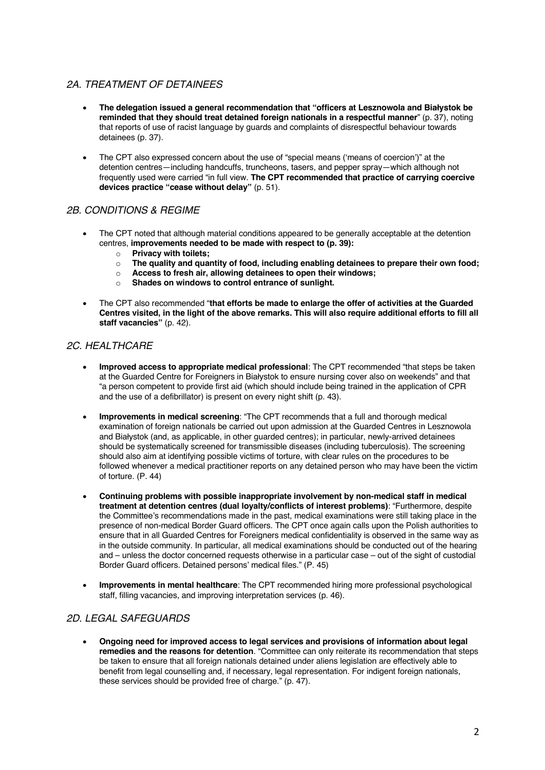### *2A. TREATMENT OF DETAINEES*

- **The delegation issued a general recommendation that "officers at Lesznowola and Białystok be reminded that they should treat detained foreign nationals in a respectful manner**" (p. 37), noting that reports of use of racist language by guards and complaints of disrespectful behaviour towards detainees (p. 37).
- The CPT also expressed concern about the use of "special means ('means of coercion')" at the detention centres—including handcuffs, truncheons, tasers, and pepper spray—which although not frequently used were carried "in full view. **The CPT recommended that practice of carrying coercive devices practice "cease without delay"** (p. 51).

#### *2B. CONDITIONS & REGIME*

- The CPT noted that although material conditions appeared to be generally acceptable at the detention centres, **improvements needed to be made with respect to (p. 39):**
	- o **Privacy with toilets;**
	- o **The quality and quantity of food, including enabling detainees to prepare their own food;**
	- o **Access to fresh air, allowing detainees to open their windows;**
	- o **Shades on windows to control entrance of sunlight.**
- The CPT also recommended "**that efforts be made to enlarge the offer of activities at the Guarded Centres visited, in the light of the above remarks. This will also require additional efforts to fill all staff vacancies"** (p. 42).

## *2C. HEALTHCARE*

- **Improved access to appropriate medical professional**: The CPT recommended "that steps be taken at the Guarded Centre for Foreigners in Białystok to ensure nursing cover also on weekends" and that "a person competent to provide first aid (which should include being trained in the application of CPR and the use of a defibrillator) is present on every night shift (p. 43).
- **Improvements in medical screening**: "The CPT recommends that a full and thorough medical examination of foreign nationals be carried out upon admission at the Guarded Centres in Lesznowola and Białystok (and, as applicable, in other guarded centres); in particular, newly-arrived detainees should be systematically screened for transmissible diseases (including tuberculosis). The screening should also aim at identifying possible victims of torture, with clear rules on the procedures to be followed whenever a medical practitioner reports on any detained person who may have been the victim of torture. (P. 44)
- **Continuing problems with possible inappropriate involvement by non-medical staff in medical treatment at detention centres (dual loyalty/conflicts of interest problems)**: "Furthermore, despite the Committee's recommendations made in the past, medical examinations were still taking place in the presence of non-medical Border Guard officers. The CPT once again calls upon the Polish authorities to ensure that in all Guarded Centres for Foreigners medical confidentiality is observed in the same way as in the outside community. In particular, all medical examinations should be conducted out of the hearing and – unless the doctor concerned requests otherwise in a particular case – out of the sight of custodial Border Guard officers. Detained persons' medical files." (P. 45)
- **Improvements in mental healthcare**: The CPT recommended hiring more professional psychological staff, filling vacancies, and improving interpretation services (p. 46).

#### *2D. LEGAL SAFEGUARDS*

• **Ongoing need for improved access to legal services and provisions of information about legal remedies and the reasons for detention**. "Committee can only reiterate its recommendation that steps be taken to ensure that all foreign nationals detained under aliens legislation are effectively able to benefit from legal counselling and, if necessary, legal representation. For indigent foreign nationals, these services should be provided free of charge." (p. 47).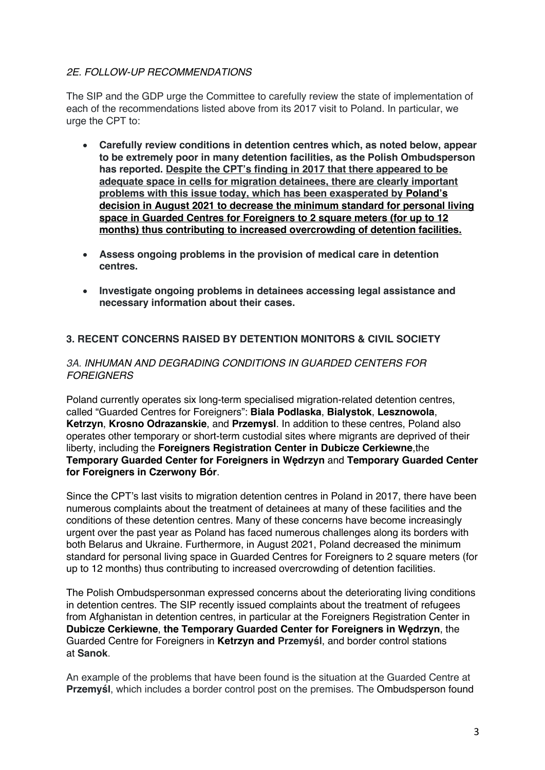## *2E. FOLLOW-UP RECOMMENDATIONS*

The SIP and the GDP urge the Committee to carefully review the state of implementation of each of the recommendations listed above from its 2017 visit to Poland. In particular, we urge the CPT to:

- **Carefully review conditions in detention centres which, as noted below, appear to be extremely poor in many detention facilities, as the Polish Ombudsperson has reported. Despite the CPT's finding in 2017 that there appeared to be adequate space in cells for migration detainees, there are clearly important problems with this issue today, which has been exasperated by Poland's decision in August 2021 to decrease the minimum standard for personal living space in Guarded Centres for Foreigners to 2 square meters (for up to 12 months) thus contributing to increased overcrowding of detention facilities.**
- **Assess ongoing problems in the provision of medical care in detention centres.**
- **Investigate ongoing problems in detainees accessing legal assistance and necessary information about their cases.**

## **3. RECENT CONCERNS RAISED BY DETENTION MONITORS & CIVIL SOCIETY**

#### *3A. INHUMAN AND DEGRADING CONDITIONS IN GUARDED CENTERS FOR FOREIGNERS*

Poland currently operates six long-term specialised migration-related detention centres, called "Guarded Centres for Foreigners": **Biala Podlaska**, **Bialystok**, **Lesznowola**, **Ketrzyn**, **Krosno Odrazanskie**, and **Przemysl**. In addition to these centres, Poland also operates other temporary or short-term custodial sites where migrants are deprived of their liberty, including the **Foreigners Registration Center in Dubicze Cerkiewne**,the **Temporary Guarded Center for Foreigners in Wędrzyn** and **Temporary Guarded Center for Foreigners in Czerwony Bór**.

Since the CPT's last visits to migration detention centres in Poland in 2017, there have been numerous complaints about the treatment of detainees at many of these facilities and the conditions of these detention centres. Many of these concerns have become increasingly urgent over the past year as Poland has faced numerous challenges along its borders with both Belarus and Ukraine. Furthermore, in August 2021, Poland decreased the minimum standard for personal living space in Guarded Centres for Foreigners to 2 square meters (for up to 12 months) thus contributing to increased overcrowding of detention facilities.

The Polish Ombudspersonman expressed concerns about the deteriorating living conditions in detention centres. The SIP recently issued complaints about the treatment of refugees from Afghanistan in detention centres, in particular at the Foreigners Registration Center in **Dubicze Cerkiewne**, **the Temporary Guarded Center for Foreigners in Wędrzyn**, the Guarded Centre for Foreigners in **Ketrzyn and Przemyśl**, and border control stations at **Sanok**.

An example of the problems that have been found is the situation at the Guarded Centre at **Przemyśl**, which includes a border control post on the premises. The Ombudsperson found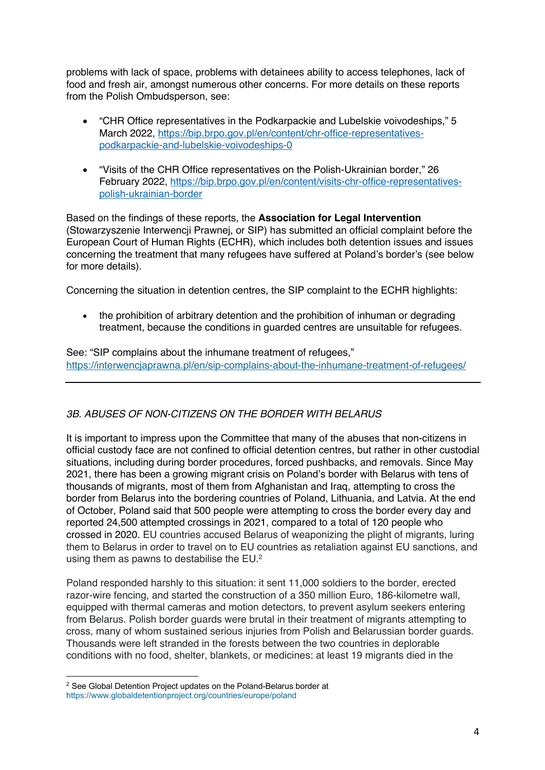problems with lack of space, problems with detainees ability to access telephones, lack of food and fresh air, amongst numerous other concerns. For more details on these reports from the Polish Ombudsperson, see:

- "CHR Office representatives in the Podkarpackie and Lubelskie voivodeships," 5 March 2022, https://bip.brpo.gov.pl/en/content/chr-office-representativespodkarpackie-and-lubelskie-voivodeships-0
- "Visits of the CHR Office representatives on the Polish-Ukrainian border," 26 February 2022, https://bip.brpo.gov.pl/en/content/visits-chr-office-representativespolish-ukrainian-border

Based on the findings of these reports, the **Association for Legal Intervention** (Stowarzyszenie Interwencji Prawnej, or SIP) has submitted an official complaint before the European Court of Human Rights (ECHR), which includes both detention issues and issues concerning the treatment that many refugees have suffered at Poland's border's (see below for more details).

Concerning the situation in detention centres, the SIP complaint to the ECHR highlights:

• the prohibition of arbitrary detention and the prohibition of inhuman or degrading treatment, because the conditions in guarded centres are unsuitable for refugees.

See: "SIP complains about the inhumane treatment of refugees," https://interwencjaprawna.pl/en/sip-complains-about-the-inhumane-treatment-of-refugees/

## *3B. ABUSES OF NON-CITIZENS ON THE BORDER WITH BELARUS*

It is important to impress upon the Committee that many of the abuses that non-citizens in official custody face are not confined to official detention centres, but rather in other custodial situations, including during border procedures, forced pushbacks, and removals. Since May 2021, there has been a growing migrant crisis on Poland's border with Belarus with tens of thousands of migrants, most of them from Afghanistan and Iraq, attempting to cross the border from Belarus into the bordering countries of Poland, Lithuania, and Latvia. At the end of October, Poland said that 500 people were attempting to cross the border every day and reported 24,500 attempted crossings in 2021, compared to a total of 120 people who crossed in 2020. EU countries accused Belarus of weaponizing the plight of migrants, luring them to Belarus in order to travel on to EU countries as retaliation against EU sanctions, and using them as pawns to destabilise the EU.<sup>2</sup>

Poland responded harshly to this situation: it sent 11,000 soldiers to the border, erected razor-wire fencing, and started the construction of a 350 million Euro, 186-kilometre wall, equipped with thermal cameras and motion detectors, to prevent asylum seekers entering from Belarus. Polish border guards were brutal in their treatment of migrants attempting to cross, many of whom sustained serious injuries from Polish and Belarussian border guards. Thousands were left stranded in the forests between the two countries in deplorable conditions with no food, shelter, blankets, or medicines: at least 19 migrants died in the

<sup>&</sup>lt;sup>2</sup> See Global Detention Project updates on the Poland-Belarus border at https://www.globaldetentionproject.org/countries/europe/poland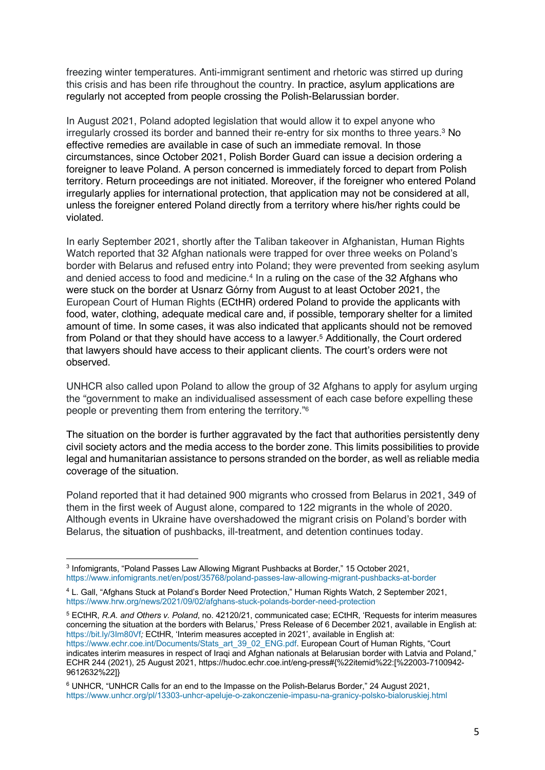freezing winter temperatures. Anti-immigrant sentiment and rhetoric was stirred up during this crisis and has been rife throughout the country. In practice, asylum applications are regularly not accepted from people crossing the Polish-Belarussian border.

In August 2021, Poland adopted legislation that would allow it to expel anyone who irregularly crossed its border and banned their re-entry for six months to three years. <sup>3</sup> No effective remedies are available in case of such an immediate removal. In those circumstances, since October 2021, Polish Border Guard can issue a decision ordering a foreigner to leave Poland. A person concerned is immediately forced to depart from Polish territory. Return proceedings are not initiated. Moreover, if the foreigner who entered Poland irregularly applies for international protection, that application may not be considered at all, unless the foreigner entered Poland directly from a territory where his/her rights could be violated.

In early September 2021, shortly after the Taliban takeover in Afghanistan, Human Rights Watch reported that 32 Afghan nationals were trapped for over three weeks on Poland's border with Belarus and refused entry into Poland; they were prevented from seeking asylum and denied access to food and medicine.<sup>4</sup> In a ruling on the case of the 32 Afghans who were stuck on the border at Usnarz Górny from August to at least October 2021, the European Court of Human Rights (ECtHR) ordered Poland to provide the applicants with food, water, clothing, adequate medical care and, if possible, temporary shelter for a limited amount of time. In some cases, it was also indicated that applicants should not be removed from Poland or that they should have access to a lawyer.5 Additionally, the Court ordered that lawyers should have access to their applicant clients. The court's orders were not observed.

UNHCR also called upon Poland to allow the group of 32 Afghans to apply for asylum urging the "government to make an individualised assessment of each case before expelling these people or preventing them from entering the territory."6

The situation on the border is further aggravated by the fact that authorities persistently deny civil society actors and the media access to the border zone. This limits possibilities to provide legal and humanitarian assistance to persons stranded on the border, as well as reliable media coverage of the situation.

Poland reported that it had detained 900 migrants who crossed from Belarus in 2021, 349 of them in the first week of August alone, compared to 122 migrants in the whole of 2020. Although events in Ukraine have overshadowed the migrant crisis on Poland's border with Belarus, the situation of pushbacks, ill-treatment, and detention continues today.

<sup>5</sup> ECtHR, *R.A. and Others v. Poland*, no. 42120/21, communicated case; ECtHR, 'Requests for interim measures concerning the situation at the borders with Belarus,' Press Release of 6 December 2021, available in English at: https://bit.ly/3Im80Vf*;* ECtHR, 'Interim measures accepted in 2021', available in English at: https://www.echr.coe.int/Documents/Stats\_art\_39\_02\_ENG.pdf. European Court of Human Rights, "Court indicates interim measures in respect of Iraqi and Afghan nationals at Belarusian border with Latvia and Poland," ECHR 244 (2021), 25 August 2021, https://hudoc.echr.coe.int/eng-press#{%22itemid%22:[%22003-7100942- 9612632%22]}

<sup>3</sup> Infomigrants, "Poland Passes Law Allowing Migrant Pushbacks at Border," 15 October 2021, https://www.infomigrants.net/en/post/35768/poland-passes-law-allowing-migrant-pushbacks-at-border

<sup>4</sup> L. Gall, "Afghans Stuck at Poland's Border Need Protection," Human Rights Watch, 2 September 2021, https://www.hrw.org/news/2021/09/02/afghans-stuck-polands-border-need-protection

<sup>6</sup> UNHCR, "UNHCR Calls for an end to the Impasse on the Polish-Belarus Border," 24 August 2021, https://www.unhcr.org/pl/13303-unhcr-apeluje-o-zakonczenie-impasu-na-granicy-polsko-bialoruskiej.html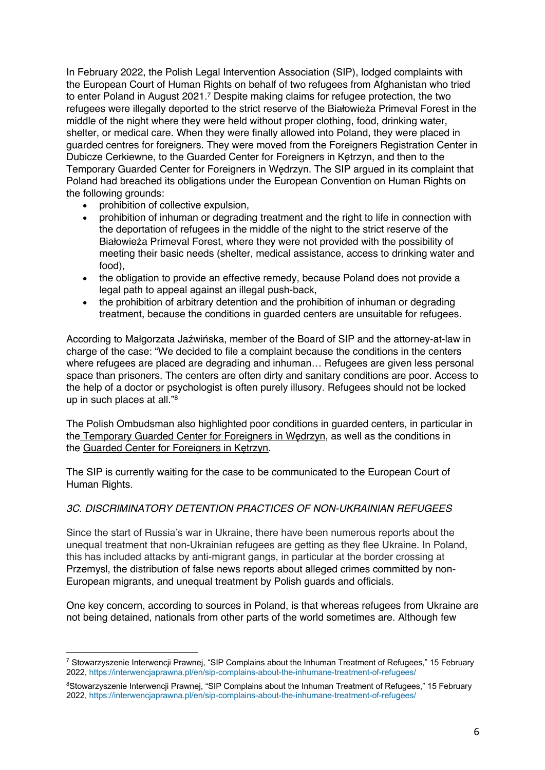In February 2022, the Polish Legal Intervention Association (SIP), lodged complaints with the European Court of Human Rights on behalf of two refugees from Afghanistan who tried to enter Poland in August 2021.7 Despite making claims for refugee protection, the two refugees were illegally deported to the strict reserve of the Białowieża Primeval Forest in the middle of the night where they were held without proper clothing, food, drinking water, shelter, or medical care. When they were finally allowed into Poland, they were placed in guarded centres for foreigners. They were moved from the Foreigners Registration Center in Dubicze Cerkiewne, to the Guarded Center for Foreigners in Kętrzyn, and then to the Temporary Guarded Center for Foreigners in Wędrzyn. The SIP argued in its complaint that Poland had breached its obligations under the European Convention on Human Rights on the following grounds:

- prohibition of collective expulsion,
- prohibition of inhuman or degrading treatment and the right to life in connection with the deportation of refugees in the middle of the night to the strict reserve of the Białowieża Primeval Forest, where they were not provided with the possibility of meeting their basic needs (shelter, medical assistance, access to drinking water and food),
- the obligation to provide an effective remedy, because Poland does not provide a legal path to appeal against an illegal push-back,
- the prohibition of arbitrary detention and the prohibition of inhuman or degrading treatment, because the conditions in guarded centers are unsuitable for refugees.

According to Małgorzata Jaźwińska, member of the Board of SIP and the attorney-at-law in charge of the case: "We decided to file a complaint because the conditions in the centers where refugees are placed are degrading and inhuman… Refugees are given less personal space than prisoners. The centers are often dirty and sanitary conditions are poor. Access to the help of a doctor or psychologist is often purely illusory. Refugees should not be locked up in such places at all."8

The Polish Ombudsman also highlighted poor conditions in guarded centers, in particular in the Temporary Guarded Center for Foreigners in Wędrzyn, as well as the conditions in the Guarded Center for Foreigners in Kętrzyn.

The SIP is currently waiting for the case to be communicated to the European Court of Human Rights.

## *3C. DISCRIMINATORY DETENTION PRACTICES OF NON-UKRAINIAN REFUGEES*

Since the start of Russia's war in Ukraine, there have been numerous reports about the unequal treatment that non-Ukrainian refugees are getting as they flee Ukraine. In Poland, this has included attacks by anti-migrant gangs, in particular at the border crossing at Przemysl, the distribution of false news reports about alleged crimes committed by non-European migrants, and unequal treatment by Polish guards and officials.

One key concern, according to sources in Poland, is that whereas refugees from Ukraine are not being detained, nationals from other parts of the world sometimes are. Although few

<sup>&</sup>lt;sup>7</sup> Stowarzyszenie Interwencji Prawnej, "SIP Complains about the Inhuman Treatment of Refugees," 15 February 2022, https://interwencjaprawna.pl/en/sip-complains-about-the-inhumane-treatment-of-refugees/

<sup>&</sup>lt;sup>8</sup>Stowarzyszenie Interwencji Prawnej, "SIP Complains about the Inhuman Treatment of Refugees," 15 February 2022, https://interwencjaprawna.pl/en/sip-complains-about-the-inhumane-treatment-of-refugees/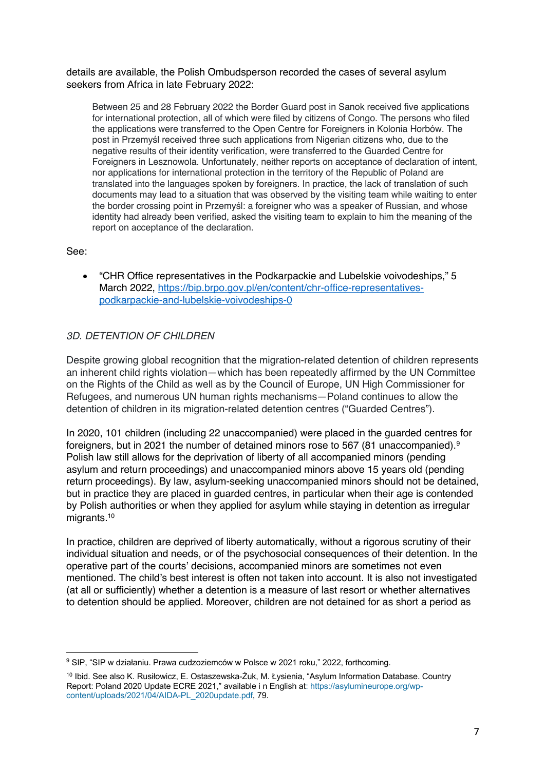details are available, the Polish Ombudsperson recorded the cases of several asylum seekers from Africa in late February 2022:

Between 25 and 28 February 2022 the Border Guard post in Sanok received five applications for international protection, all of which were filed by citizens of Congo. The persons who filed the applications were transferred to the Open Centre for Foreigners in Kolonia Horbów. The post in Przemyśl received three such applications from Nigerian citizens who, due to the negative results of their identity verification, were transferred to the Guarded Centre for Foreigners in Lesznowola. Unfortunately, neither reports on acceptance of declaration of intent, nor applications for international protection in the territory of the Republic of Poland are translated into the languages spoken by foreigners. In practice, the lack of translation of such documents may lead to a situation that was observed by the visiting team while waiting to enter the border crossing point in Przemyśl: a foreigner who was a speaker of Russian, and whose identity had already been verified, asked the visiting team to explain to him the meaning of the report on acceptance of the declaration.

See:

• "CHR Office representatives in the Podkarpackie and Lubelskie voivodeships," 5 March 2022, https://bip.brpo.gov.pl/en/content/chr-office-representativespodkarpackie-and-lubelskie-voivodeships-0

#### *3D. DETENTION OF CHILDREN*

Despite growing global recognition that the migration-related detention of children represents an inherent child rights violation—which has been repeatedly affirmed by the UN Committee on the Rights of the Child as well as by the Council of Europe, UN High Commissioner for Refugees, and numerous UN human rights mechanisms—Poland continues to allow the detention of children in its migration-related detention centres ("Guarded Centres").

In 2020, 101 children (including 22 unaccompanied) were placed in the guarded centres for foreigners, but in 2021 the number of detained minors rose to 567 (81 unaccompanied).9 Polish law still allows for the deprivation of liberty of all accompanied minors (pending asylum and return proceedings) and unaccompanied minors above 15 years old (pending return proceedings). By law, asylum-seeking unaccompanied minors should not be detained, but in practice they are placed in guarded centres, in particular when their age is contended by Polish authorities or when they applied for asylum while staying in detention as irregular migrants.10

In practice, children are deprived of liberty automatically, without a rigorous scrutiny of their individual situation and needs, or of the psychosocial consequences of their detention. In the operative part of the courts' decisions, accompanied minors are sometimes not even mentioned. The child's best interest is often not taken into account. It is also not investigated (at all or sufficiently) whether a detention is a measure of last resort or whether alternatives to detention should be applied. Moreover, children are not detained for as short a period as

<sup>&</sup>lt;sup>9</sup> SIP, "SIP w działaniu. Prawa cudzoziemców w Polsce w 2021 roku," 2022, forthcoming.

<sup>10</sup> Ibid. See also K. Rusiłowicz, E. Ostaszewska-Żuk, M. Łysienia, "Asylum Information Database. Country Report: Poland 2020 Update ECRE 2021," available i n English at: https://asylumineurope.org/wpcontent/uploads/2021/04/AIDA-PL\_2020update.pdf, 79.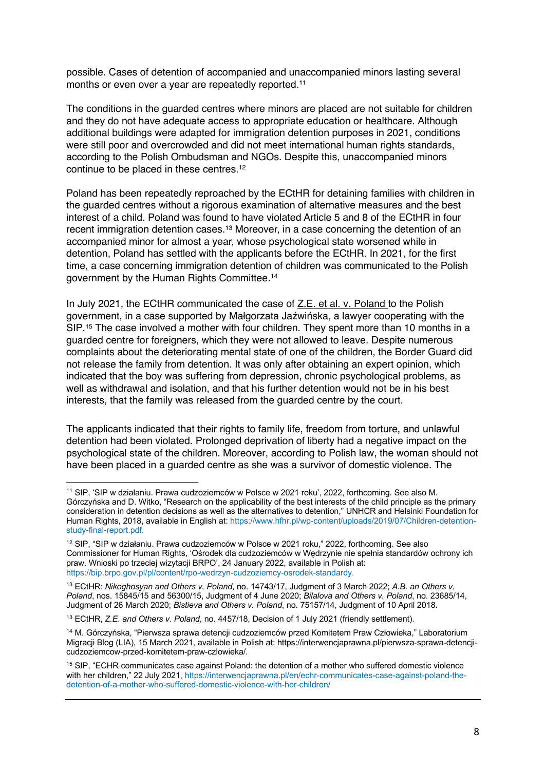possible. Cases of detention of accompanied and unaccompanied minors lasting several months or even over a year are repeatedly reported.<sup>11</sup>

The conditions in the guarded centres where minors are placed are not suitable for children and they do not have adequate access to appropriate education or healthcare. Although additional buildings were adapted for immigration detention purposes in 2021, conditions were still poor and overcrowded and did not meet international human rights standards, according to the Polish Ombudsman and NGOs. Despite this, unaccompanied minors continue to be placed in these centres. 12

Poland has been repeatedly reproached by the ECtHR for detaining families with children in the guarded centres without a rigorous examination of alternative measures and the best interest of a child. Poland was found to have violated Article 5 and 8 of the ECtHR in four recent immigration detention cases.13 Moreover, in a case concerning the detention of an accompanied minor for almost a year, whose psychological state worsened while in detention, Poland has settled with the applicants before the ECtHR. In 2021, for the first time, a case concerning immigration detention of children was communicated to the Polish government by the Human Rights Committee.14

In July 2021, the ECtHR communicated the case of Z.E. et al. v. Poland to the Polish government, in a case supported by Małgorzata Jaźwińska, a lawyer cooperating with the SIP.<sup>15</sup> The case involved a mother with four children. They spent more than 10 months in a guarded centre for foreigners, which they were not allowed to leave. Despite numerous complaints about the deteriorating mental state of one of the children, the Border Guard did not release the family from detention. It was only after obtaining an expert opinion, which indicated that the boy was suffering from depression, chronic psychological problems, as well as withdrawal and isolation, and that his further detention would not be in his best interests, that the family was released from the guarded centre by the court.

The applicants indicated that their rights to family life, freedom from torture, and unlawful detention had been violated. Prolonged deprivation of liberty had a negative impact on the psychological state of the children. Moreover, according to Polish law, the woman should not have been placed in a guarded centre as she was a survivor of domestic violence. The

<sup>11</sup> SIP, 'SIP w działaniu. Prawa cudzoziemców w Polsce w 2021 roku', 2022, forthcoming. See also M. Górczyńska and D. Witko, "Research on the applicability of the best interests of the child principle as the primary consideration in detention decisions as well as the alternatives to detention," UNHCR and Helsinki Foundation for Human Rights, 2018, available in English at: https://www.hfhr.pl/wp-content/uploads/2019/07/Children-detentionstudy-final-report.pdf*.*

<sup>&</sup>lt;sup>12</sup> SIP, "SIP w działaniu. Prawa cudzoziemców w Polsce w 2021 roku," 2022, forthcoming. See also Commissioner for Human Rights, 'Ośrodek dla cudzoziemców w Wędrzynie nie spełnia standardów ochrony ich praw. Wnioski po trzeciej wizytacji BRPO', 24 January 2022, available in Polish at: https://bip.brpo.gov.pl/pl/content/rpo-wedrzyn-cudzoziemcy-osrodek-standardy*.*

<sup>13</sup> ECtHR: *Nikoghosyan and Others v. Poland*, no. 14743/17, Judgment of 3 March 2022; *A.B. an Others v. Poland*, nos. 15845/15 and 56300/15, Judgment of 4 June 2020; *Bilalova and Others v. Poland*, no. 23685/14, Judgment of 26 March 2020; *Bistieva and Others v. Poland*, no. 75157/14, Judgment of 10 April 2018.

<sup>13</sup> ECtHR, *Z.E. and Others v. Poland*, no. 4457/18, Decision of 1 July 2021 (friendly settlement).

<sup>14</sup> M. Górczyńska, "Pierwsza sprawa detencji cudzoziemców przed Komitetem Praw Człowieka," Laboratorium Migracji Blog (LIA), 15 March 2021, available in Polish at: https://interwencjaprawna.pl/pierwsza-sprawa-detencjicudzoziemcow-przed-komitetem-praw-czlowieka/*.*

<sup>15</sup> SIP, "ECHR communicates case against Poland: the detention of a mother who suffered domestic violence with her children," 22 July 2021, https://interwencjaprawna.pl/en/echr-communicates-case-against-poland-thedetention-of-a-mother-who-suffered-domestic-violence-with-her-children/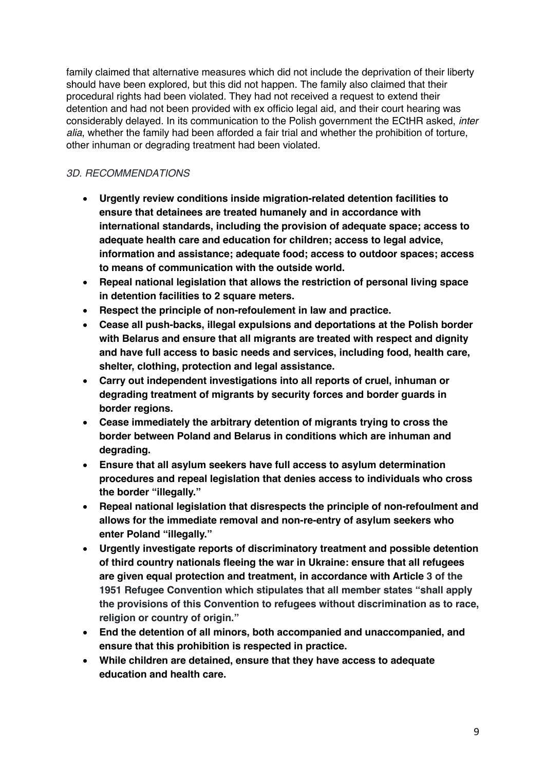family claimed that alternative measures which did not include the deprivation of their liberty should have been explored, but this did not happen. The family also claimed that their procedural rights had been violated. They had not received a request to extend their detention and had not been provided with ex officio legal aid, and their court hearing was considerably delayed. In its communication to the Polish government the ECtHR asked, *inter alia*, whether the family had been afforded a fair trial and whether the prohibition of torture, other inhuman or degrading treatment had been violated.

## *3D. RECOMMENDATIONS*

- **Urgently review conditions inside migration-related detention facilities to ensure that detainees are treated humanely and in accordance with international standards, including the provision of adequate space; access to adequate health care and education for children; access to legal advice, information and assistance; adequate food; access to outdoor spaces; access to means of communication with the outside world.**
- **Repeal national legislation that allows the restriction of personal living space in detention facilities to 2 square meters.**
- **Respect the principle of non-refoulement in law and practice.**
- **Cease all push-backs, illegal expulsions and deportations at the Polish border with Belarus and ensure that all migrants are treated with respect and dignity and have full access to basic needs and services, including food, health care, shelter, clothing, protection and legal assistance.**
- **Carry out independent investigations into all reports of cruel, inhuman or degrading treatment of migrants by security forces and border guards in border regions.**
- **Cease immediately the arbitrary detention of migrants trying to cross the border between Poland and Belarus in conditions which are inhuman and degrading.**
- **Ensure that all asylum seekers have full access to asylum determination procedures and repeal legislation that denies access to individuals who cross the border "illegally."**
- **Repeal national legislation that disrespects the principle of non-refoulment and allows for the immediate removal and non-re-entry of asylum seekers who enter Poland "illegally."**
- **Urgently investigate reports of discriminatory treatment and possible detention of third country nationals fleeing the war in Ukraine: ensure that all refugees are given equal protection and treatment, in accordance with Article 3 of the 1951 Refugee Convention which stipulates that all member states "shall apply the provisions of this Convention to refugees without discrimination as to race, religion or country of origin."**
- **End the detention of all minors, both accompanied and unaccompanied, and ensure that this prohibition is respected in practice.**
- **While children are detained, ensure that they have access to adequate education and health care.**